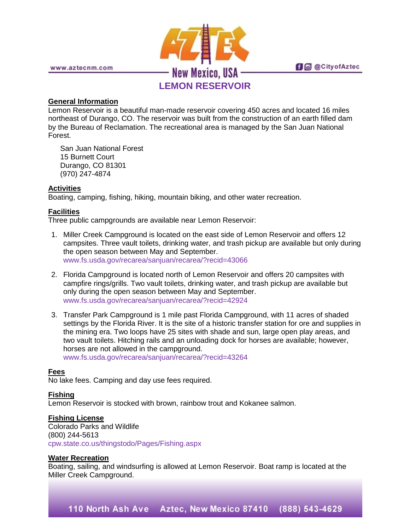

### **General Information**

Lemon Reservoir is a beautiful man-made reservoir covering 450 acres and located 16 miles northeast of Durango, CO. The reservoir was built from the construction of an earth filled dam by the Bureau of Reclamation. The recreational area is managed by the San Juan National Forest.

San Juan National Forest 15 Burnett Court Durango, CO 81301 (970) 247-4874

### **Activities**

Boating, camping, fishing, hiking, mountain biking, and other water recreation.

## **Facilities**

Three public campgrounds are available near Lemon Reservoir:

- 1. Miller Creek Campground is located on the east side of Lemon Reservoir and offers 12 campsites. Three vault toilets, drinking water, and trash pickup are available but only during the open season between May and September. [www.fs.usda.gov/recarea/sanjuan/recarea/?recid=43066](http://www.fs.usda.gov/recarea/sanjuan/recarea/?recid=43066)
- 2. Florida Campground is located north of Lemon Reservoir and offers 20 campsites with campfire rings/grills. Two vault toilets, drinking water, and trash pickup are available but only during the open season between May and September. [www.fs.usda.gov/recarea/sanjuan/recarea/?recid=42924](http://www.fs.usda.gov/recarea/sanjuan/recarea/?recid=42924)
- 3. Transfer Park Campground is 1 mile past Florida Campground, with 11 acres of shaded settings by the Florida River. It is the site of a historic transfer station for ore and supplies in the mining era. Two loops have 25 sites with shade and sun, large open play areas, and two vault toilets. Hitching rails and an unloading dock for horses are available; however, horses are not allowed in the campground. [www.fs.usda.gov/recarea/sanjuan/recarea/?recid=43264](http://www.fs.usda.gov/recarea/sanjuan/recarea/?recid=43264)

### **Fees**

No lake fees. Camping and day use fees required.

# **Fishing**

Lemon Reservoir is stocked with brown, rainbow trout and Kokanee salmon.

### **Fishing License**

Colorado Parks and Wildlife (800) 244-5613 [cpw.state.co.us/thingstodo/Pages/Fishing.aspx](http://cpw.state.co.us/thingstodo/Pages/Fishing.aspx)

### **Water Recreation**

Boating, sailing, and windsurfing is allowed at Lemon Reservoir. Boat ramp is located at the Miller Creek Campground.

110 North Ash Ave Aztec, New Mexico 87410 (888) 543-4629